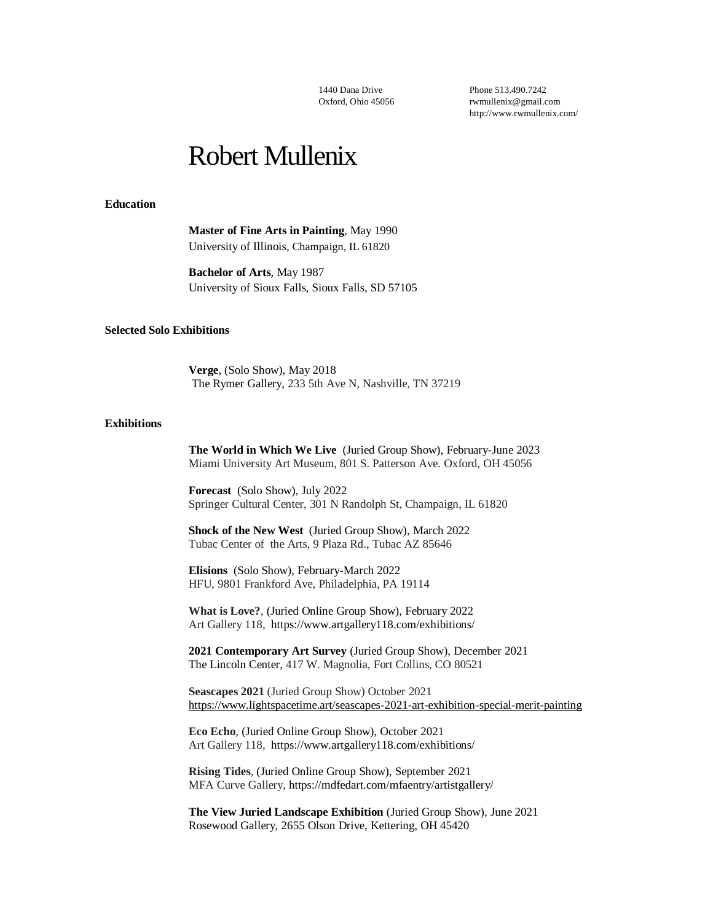1440 Dana Drive Oxford, Ohio 45056 Phone 513.490.7242 [rwmullenix@gmail.com](mailto:rwmullenix@gmail.com) [http://www.rwmullenix.com/](http://rwmullenix.blogspot.com/)

# Robert Mullenix

#### **Education**

**Master of Fine Arts in Painting**, May 1990 University of Illinois, Champaign, IL 61820

**Bachelor of Arts**, May 1987 University of Sioux Falls, Sioux Falls, SD 57105

#### **Selected Solo Exhibitions**

**Verge**, (Solo Show), May 2018 The Rymer Gallery, 233 5th Ave N, Nashville, TN 37219

#### **Exhibitions**

**The World in Which We Live** (Juried Group Show), February-June 2023 Miami University Art Museum, 801 S. Patterson Ave. Oxford, OH 45056

**Forecast** (Solo Show), July 2022 Springer Cultural Center, 301 N Randolph St, Champaign, IL 61820

**Shock of the New West** (Juried Group Show), March 2022 Tubac Center of the Arts, 9 Plaza Rd., Tubac AZ 85646

**Elisions** (Solo Show), February-March 2022 HFU, 9801 Frankford Ave, Philadelphia, PA 19114

**What is Love?**, (Juried Online Group Show), February 2022 Art Gallery 118, [https://www.artgallery118.com/exhibitions/](https://www.artgallery118.com/exhibitions)

**2021 Contemporary Art Survey** (Juried Group Show), December 2021 The Lincoln Center, 417 W. Magnolia, Fort Collins, CO 80521

**Seascapes 2021** (Juried Group Show) October 2021 <https://www.lightspacetime.art/seascapes-2021-art-exhibition-special-merit-painting>

**Eco Echo**, (Juried Online Group Show), October 2021 Art Gallery 118, [https://www.artgallery118.com/exhibitions/](https://www.artgallery118.com/exhibitions)

**Rising Tides**, (Juried Online Group Show), September 2021 MFA Curve Gallery, https://mdfedart.com/mfaentry/artistgallery/

**The View Juried Landscape Exhibition** (Juried Group Show), June 2021 Rosewood Gallery, 2655 Olson Drive, Kettering, OH 45420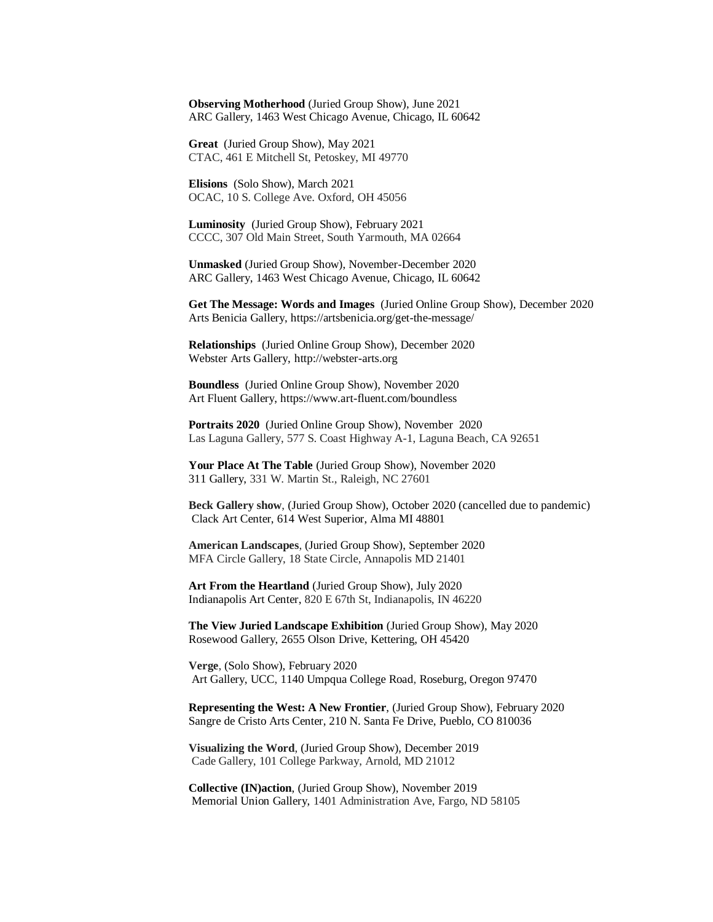**Observing Motherhood** (Juried Group Show), June 2021 ARC Gallery, 1463 West Chicago Avenue, Chicago, IL 60642

**Great** (Juried Group Show), May 2021 CTAC, 461 E Mitchell St, Petoskey, MI 49770

**Elisions** (Solo Show), March 2021 OCAC, 10 S. College Ave. Oxford, OH 45056

**Luminosity** (Juried Group Show), February 2021 CCCC, 307 Old Main Street, South Yarmouth, MA 02664

**Unmasked** (Juried Group Show), November-December 2020 ARC Gallery, 1463 West Chicago Avenue, Chicago, IL 60642

**Get The Message: Words and Images** (Juried Online Group Show), December 2020 Arts Benicia Gallery, https://artsbenicia.org/get-the-message/

**Relationships** (Juried Online Group Show), December 2020 Webster Arts Gallery, [http://webster-arts.org](http://webster-arts.org/)

**Boundless** (Juried Online Group Show), November 2020 Art Fluent Gallery,<https://www.art-fluent.com/boundless>

**Portraits 2020** (Juried Online Group Show), November 2020 Las Laguna Gallery, 577 S. Coast Highway A-1, Laguna Beach, CA 92651

**Your Place At The Table** (Juried Group Show), November 2020 311 Gallery, 331 W. Martin St., Raleigh, NC 27601

**Beck Gallery show**, (Juried Group Show), October 2020 (cancelled due to pandemic) Clack Art Center, 614 West Superior, Alma MI 48801

**American Landscapes**, (Juried Group Show), September 2020 MFA Circle Gallery, [18 State Circle, Annapolis MD 21401](http://r20.rs6.net/tn.jsp?f=001ZG53CVngJoMCM4qlElg1rjO_G24hSzB9K5eI_kU9olwA82Ugi-nXpbRWX-kdfbgccA6JADuLxU1e3EbAvJinHB8Hr5vGiPgQPPvK3iqN7nB1dVGVFieAOhWZHvALSwUtFtfJ_WfhOjRYuaPFKVaTiWAn18sPNJwrbxPAKBl5xHk7q0VKwCTJGDR7zIBwcY2nvks6FmGeGyzr1NymWJnZdEiiH2DxEVKy7uknhmzcyOudVGsL4F2pCv_tnp77oMUt&c=dpQlg_UGtvpadTGMYTZPG0d2koN7mkiFU4KMA3WfGTHD5GHSTPNd1A==&ch=C9IW31RTgL9LQkPNWeUWN9rjBLEeXCqZQFWxFw230wMFSWXn0WdY8g==)

**Art From the Heartland** (Juried Group Show), July 2020 Indianapolis Art Center, 820 E 67th St, Indianapolis, IN 46220

**The View Juried Landscape Exhibition** (Juried Group Show), May 2020 Rosewood Gallery, 2655 Olson Drive, Kettering, OH 45420

**Verge**, (Solo Show), February 2020 Art Gallery, UCC, 1140 Umpqua College Road, Roseburg, Oregon 97470

**Representing the West: A New Frontier**, (Juried Group Show), February 2020 Sangre de Cristo Arts Center, 210 N. Santa Fe Drive, Pueblo, CO 810036

**Visualizing the Word**, (Juried Group Show), December 2019 Cade Gallery, 101 College Parkway, Arnold, MD 21012

**Collective (IN)action**, (Juried Group Show), November 2019 Memorial Union Gallery, 1401 Administration Ave, Fargo, ND 58105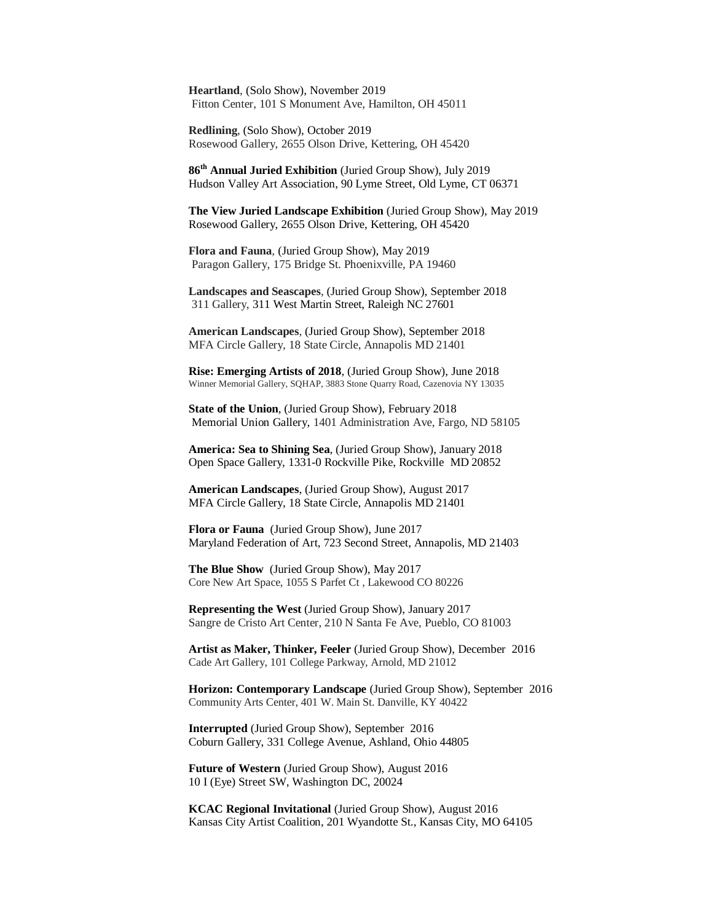**Heartland**, (Solo Show), November 2019 Fitton Center, 101 S Monument Ave, Hamilton, OH 45011

**Redlining**, (Solo Show), October 2019 Rosewood Gallery, 2655 Olson Drive, Kettering, OH 45420

**86th Annual Juried Exhibition** (Juried Group Show), July 2019 Hudson Valley Art Association, 90 Lyme Street, Old Lyme, CT 06371

**The View Juried Landscape Exhibition** (Juried Group Show), May 2019 Rosewood Gallery, 2655 Olson Drive, Kettering, OH 45420

**Flora and Fauna**, (Juried Group Show), May 2019 Paragon Gallery, 175 Bridge St. Phoenixville, PA 19460

**Landscapes and Seascapes**, (Juried Group Show), September 2018 311 Gallery, [311 West Martin Street, Raleigh NC 27601](https://maps.google.com/?q=311+West+Martin+Street,+Raleigh+NC+27601&entry=gmail&source=g)

**American Landscapes**, (Juried Group Show), September 2018 MFA Circle Gallery, [18 State Circle, Annapolis MD 21401](http://r20.rs6.net/tn.jsp?f=001ZG53CVngJoMCM4qlElg1rjO_G24hSzB9K5eI_kU9olwA82Ugi-nXpbRWX-kdfbgccA6JADuLxU1e3EbAvJinHB8Hr5vGiPgQPPvK3iqN7nB1dVGVFieAOhWZHvALSwUtFtfJ_WfhOjRYuaPFKVaTiWAn18sPNJwrbxPAKBl5xHk7q0VKwCTJGDR7zIBwcY2nvks6FmGeGyzr1NymWJnZdEiiH2DxEVKy7uknhmzcyOudVGsL4F2pCv_tnp77oMUt&c=dpQlg_UGtvpadTGMYTZPG0d2koN7mkiFU4KMA3WfGTHD5GHSTPNd1A==&ch=C9IW31RTgL9LQkPNWeUWN9rjBLEeXCqZQFWxFw230wMFSWXn0WdY8g==)

**Rise: Emerging Artists of 2018**, (Juried Group Show), June 2018 Winner Memorial Gallery, SQHAP, 3883 Stone Quarry Road, Cazenovia NY 13035

**State of the Union**, (Juried Group Show), February 2018 Memorial Union Gallery, 1401 Administration Ave, Fargo, ND 58105

**America: Sea to Shining Sea**, (Juried Group Show), January 2018 Open Space Gallery, 1331-0 Rockville Pike, Rockville MD 20852

**American Landscapes**, (Juried Group Show), August 2017 MFA Circle Gallery, 18 State Circle, Annapolis MD 21401

**Flora or Fauna** (Juried Group Show), June 2017 Maryland Federation of Art, 723 Second Street, Annapolis, MD 21403

**The Blue Show** (Juried Group Show), May 2017 Core New Art Space, 1055 S Parfet Ct , Lakewood CO 80226

**Representing the West** (Juried Group Show), January 2017 Sangre de Cristo Art Center, 210 N Santa Fe Ave, Pueblo, CO 81003

**Artist as Maker, Thinker, Feeler** (Juried Group Show), December 2016 Cade Art Gallery, 101 College Parkway, Arnold, MD 21012

**Horizon: Contemporary Landscape** (Juried Group Show), September 2016 Community Arts Center, 401 W. Main St. Danville, KY 40422

**Interrupted** (Juried Group Show), September 2016 Coburn Gallery, 331 College Avenue, Ashland, Ohio 44805

**Future of Western** (Juried Group Show), August 2016 10 I (Eye) Street SW, Washington DC, 20024

**KCAC Regional Invitational** (Juried Group Show), August 2016 Kansas City Artist Coalition, 201 Wyandotte St., Kansas City, MO 64105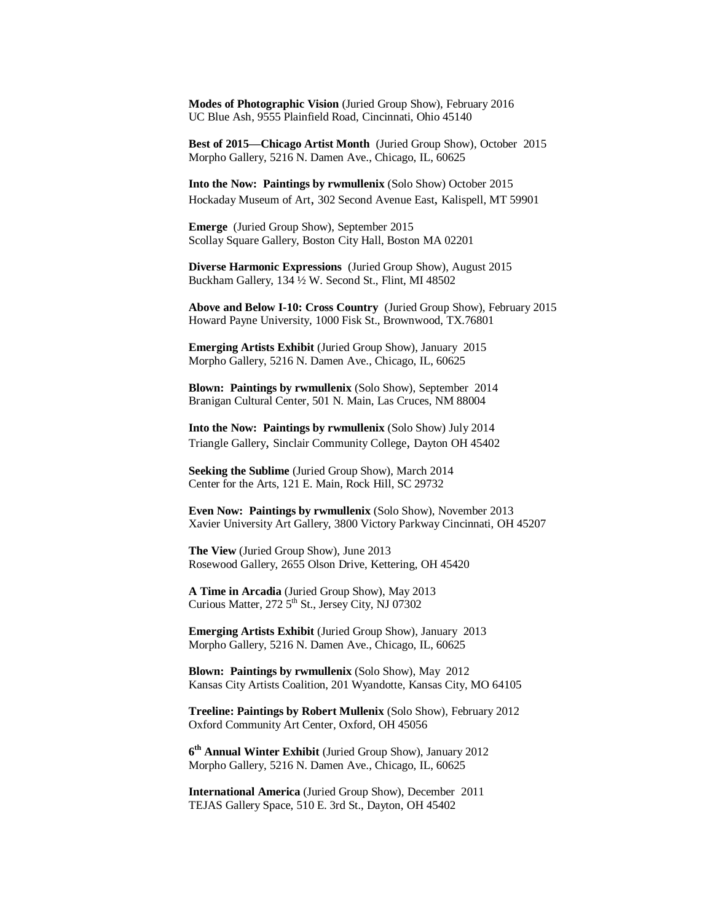**Modes of Photographic Vision** (Juried Group Show), February 2016 UC Blue Ash, 9555 Plainfield Road, Cincinnati, Ohio 45140

**Best of 2015—Chicago Artist Month** (Juried Group Show), October 2015 Morpho Gallery, 5216 N. Damen Ave., Chicago, IL, 60625

**Into the Now: Paintings by rwmullenix** (Solo Show) October 2015 Hockaday Museum of Art, 302 Second Avenue East, Kalispell, MT 59901

**Emerge** (Juried Group Show), September 2015 Scollay Square Gallery, Boston City Hall, Boston MA 02201

**Diverse Harmonic Expressions** (Juried Group Show), August 2015 Buckham Gallery, 134 ½ W. Second St., Flint, MI 48502

**Above and Below I-10: Cross Country** (Juried Group Show), February 2015 Howard Payne University, 1000 Fisk St., Brownwood, TX.76801

**Emerging Artists Exhibit** (Juried Group Show), January 2015 Morpho Gallery, 5216 N. Damen Ave., Chicago, IL, 60625

**Blown: Paintings by rwmullenix** (Solo Show), September 2014 Branigan Cultural Center, 501 N. Main, Las Cruces, NM 88004

**Into the Now: Paintings by rwmullenix** (Solo Show) July 2014 Triangle Gallery, Sinclair Community College, Dayton OH 45402

**Seeking the Sublime** (Juried Group Show), March 2014 Center for the Arts, 121 E. Main, Rock Hill, SC 29732

**Even Now: Paintings by rwmullenix** (Solo Show), November 2013 Xavier University Art Gallery, 3800 Victory Parkway Cincinnati, OH 45207

**The View** (Juried Group Show), June 2013 Rosewood Gallery, 2655 Olson Drive, Kettering, OH 45420

**A Time in Arcadia** (Juried Group Show), May 2013 Curious Matter,  $272.5<sup>th</sup>$  St., Jersey City, NJ 07302

**Emerging Artists Exhibit** (Juried Group Show), January 2013 Morpho Gallery, 5216 N. Damen Ave., Chicago, IL, 60625

**Blown: Paintings by rwmullenix** (Solo Show), May 2012 Kansas City Artists Coalition, 201 Wyandotte, Kansas City, MO 64105

**Treeline: Paintings by Robert Mullenix** (Solo Show), February 2012 Oxford Community Art Center, Oxford, OH 45056

**6 th Annual Winter Exhibit** (Juried Group Show), January 2012 Morpho Gallery, 5216 N. Damen Ave., Chicago, IL, 60625

**International America** (Juried Group Show), December 2011 TEJAS Gallery Space, 510 E. 3rd St., Dayton, OH 45402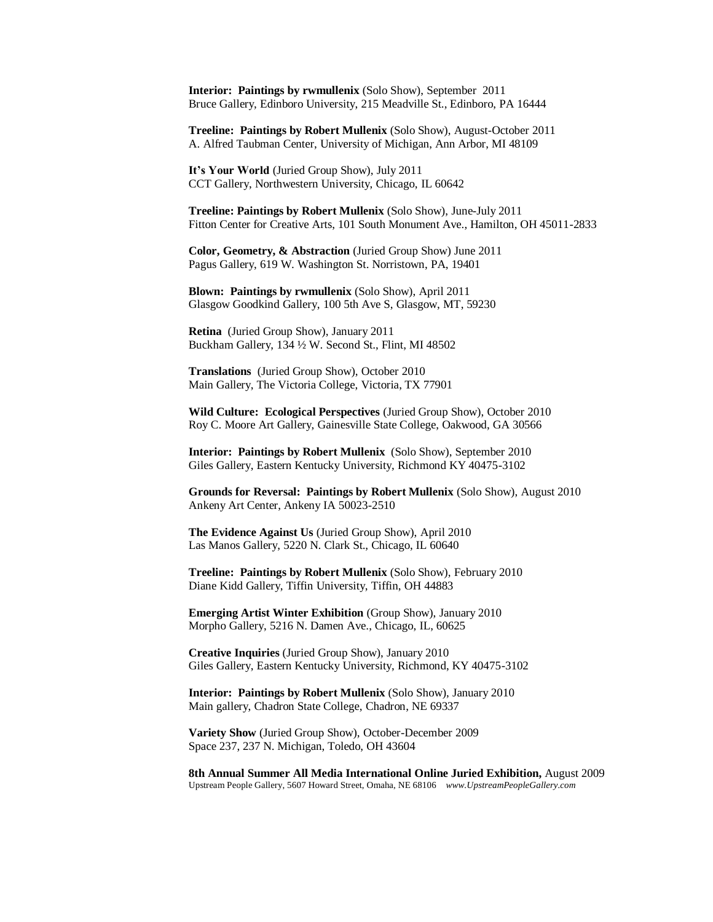**Interior: Paintings by rwmullenix** (Solo Show), September 2011 Bruce Gallery, Edinboro University, 215 Meadville St., Edinboro, PA 16444

**Treeline: Paintings by Robert Mullenix** (Solo Show), August-October 2011 A. Alfred Taubman Center, University of Michigan, Ann Arbor, MI 48109

**It's Your World** (Juried Group Show), July 2011 CCT Gallery, Northwestern University, Chicago, IL 60642

**Treeline: Paintings by Robert Mullenix** (Solo Show), June-July 2011 Fitton Center for Creative Arts, 101 South Monument Ave., Hamilton, OH 45011-2833

**Color, Geometry, & Abstraction** (Juried Group Show) June 2011 Pagus Gallery, 619 W. Washington St. Norristown, PA, 19401

**Blown: Paintings by rwmullenix** (Solo Show), April 2011 Glasgow Goodkind Gallery, 100 5th Ave S, Glasgow, MT, 59230

**Retina** (Juried Group Show), January 2011 Buckham Gallery, 134 ½ W. Second St., Flint, MI 48502

**Translations** (Juried Group Show), October 2010 Main Gallery, The Victoria College, Victoria, TX 77901

**Wild Culture: Ecological Perspectives** (Juried Group Show), October 2010 Roy C. Moore Art Gallery, Gainesville State College, Oakwood, GA 30566

**Interior: Paintings by Robert Mullenix** (Solo Show), September 2010 Giles Gallery, Eastern Kentucky University, Richmond KY 40475-3102

**Grounds for Reversal: Paintings by Robert Mullenix** (Solo Show), August 2010 Ankeny Art Center, Ankeny IA 50023-2510

**The Evidence Against Us** (Juried Group Show), April 2010 Las Manos Gallery, 5220 N. Clark St., Chicago, IL 60640

**Treeline: Paintings by Robert Mullenix** (Solo Show), February 2010 Diane Kidd Gallery, Tiffin University, Tiffin, OH 44883

**Emerging Artist Winter Exhibition** (Group Show), January 2010 Morpho Gallery, 5216 N. Damen Ave., Chicago, IL, 60625

**Creative Inquiries** (Juried Group Show), January 2010 Giles Gallery, Eastern Kentucky University, Richmond, KY 40475-3102

**Interior: Paintings by Robert Mullenix** (Solo Show), January 2010 Main gallery, Chadron State College, Chadron, NE 69337

**Variety Show** (Juried Group Show), October-December 2009 Space 237, 237 N. Michigan, Toledo, OH 43604

**8th Annual Summer All Media International Online Juried Exhibition,** August 2009 Upstream People Gallery, 5607 Howard Street, Omaha, NE 68106 *www.UpstreamPeopleGallery.com*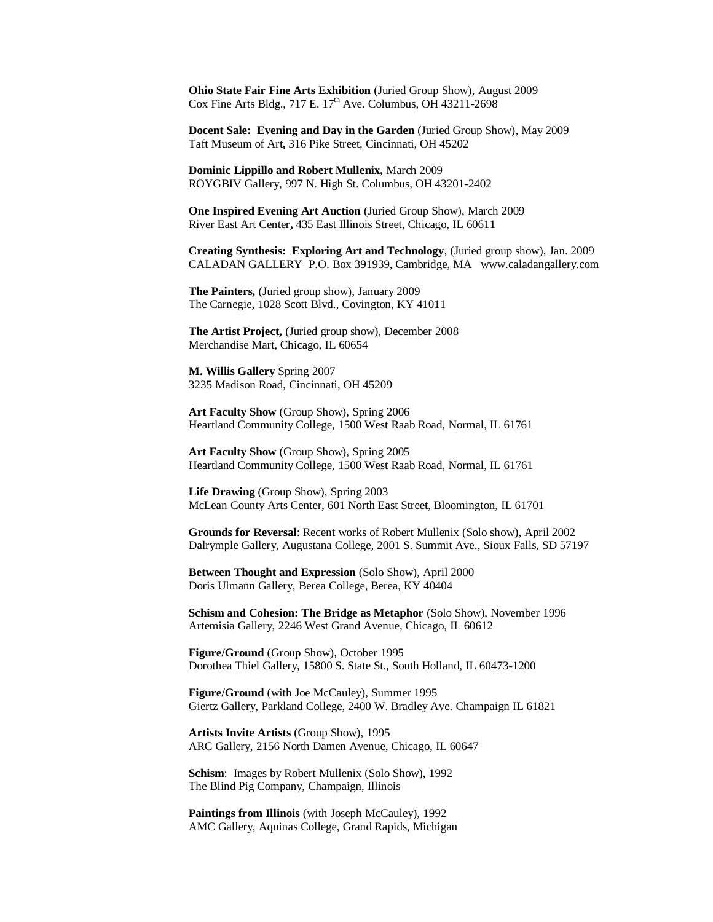**Ohio State Fair Fine Arts Exhibition** (Juried Group Show), August 2009 Cox Fine Arts Bldg.,  $717$  E.  $17<sup>th</sup>$  Ave. Columbus, OH 43211-2698

**Docent Sale: Evening and Day in the Garden** (Juried Group Show), May 2009 Taft Museum of Art**,** 316 Pike Street, Cincinnati, OH 45202

**Dominic Lippillo and Robert Mullenix,** March 2009 ROYGBIV Gallery, 997 N. High St. Columbus, OH 43201-2402

**One Inspired Evening Art Auction** (Juried Group Show), March 2009 River East Art Center**,** 435 East Illinois Street, Chicago, IL 60611

**Creating Synthesis: Exploring Art and Technology**, (Juried group show), Jan. 2009 CALADAN GALLERY P.O. Box 391939, Cambridge, MA www.caladangallery.com

**The Painters,** (Juried group show), January 2009 The Carnegie, 1028 Scott Blvd., Covington, KY 41011

**The Artist Project,** (Juried group show), December 2008 Merchandise Mart, Chicago, IL 60654

**M. Willis Gallery** Spring 2007 3235 Madison Road, Cincinnati, OH 45209

**Art Faculty Show** (Group Show), Spring 2006 Heartland Community College, 1500 West Raab Road, Normal, IL 61761

**Art Faculty Show** (Group Show), Spring 2005 Heartland Community College, 1500 West Raab Road, Normal, IL 61761

**Life Drawing** (Group Show), Spring 2003 McLean County Arts Center, 601 North East Street, Bloomington, IL 61701

**Grounds for Reversal**: Recent works of Robert Mullenix (Solo show), April 2002 Dalrymple Gallery, Augustana College, 2001 S. Summit Ave., Sioux Falls, SD 57197

**Between Thought and Expression** (Solo Show), April 2000 Doris Ulmann Gallery, Berea College, Berea, KY 40404

**Schism and Cohesion: The Bridge as Metaphor** (Solo Show), November 1996 Artemisia Gallery, 2246 West Grand Avenue, Chicago, IL 60612

**Figure/Ground** (Group Show), October 1995 Dorothea Thiel Gallery, 15800 S. State St., South Holland, IL 60473-1200

**Figure/Ground** (with Joe McCauley), Summer 1995 Giertz Gallery, Parkland College, 2400 W. Bradley Ave. Champaign IL 61821

**Artists Invite Artists** (Group Show), 1995 ARC Gallery, 2156 North Damen Avenue, Chicago, IL 60647

**Schism**: Images by Robert Mullenix (Solo Show), 1992 The Blind Pig Company, Champaign, Illinois

**Paintings from Illinois** (with Joseph McCauley), 1992 AMC Gallery, Aquinas College, Grand Rapids, Michigan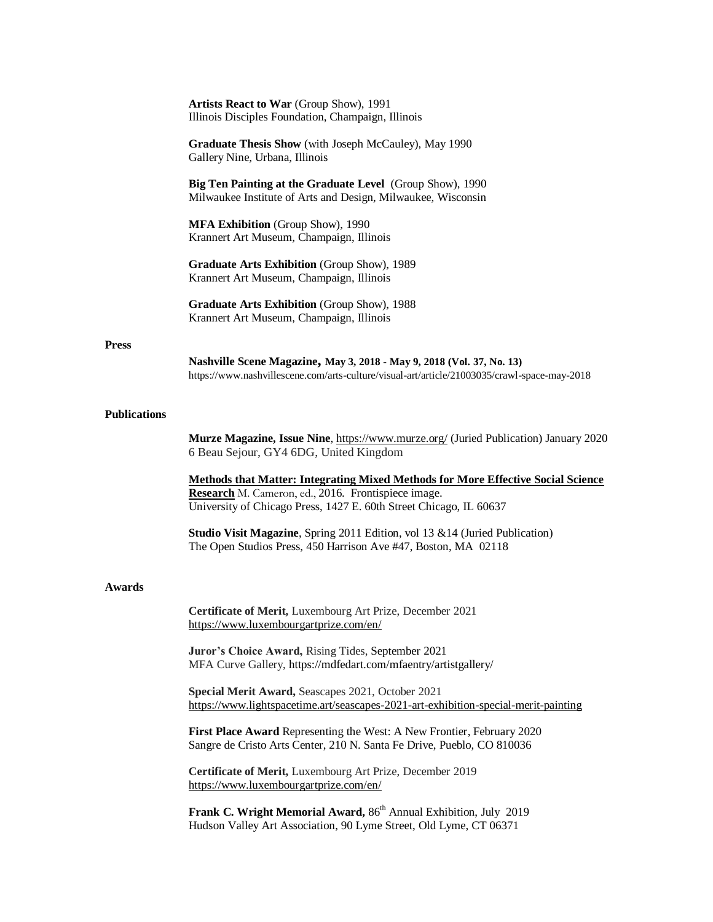|                     | Artists React to War (Group Show), 1991<br>Illinois Disciples Foundation, Champaign, Illinois                                                                                                                        |
|---------------------|----------------------------------------------------------------------------------------------------------------------------------------------------------------------------------------------------------------------|
|                     | Graduate Thesis Show (with Joseph McCauley), May 1990<br>Gallery Nine, Urbana, Illinois                                                                                                                              |
|                     | Big Ten Painting at the Graduate Level (Group Show), 1990<br>Milwaukee Institute of Arts and Design, Milwaukee, Wisconsin                                                                                            |
|                     | MFA Exhibition (Group Show), 1990<br>Krannert Art Museum, Champaign, Illinois                                                                                                                                        |
|                     | Graduate Arts Exhibition (Group Show), 1989<br>Krannert Art Museum, Champaign, Illinois                                                                                                                              |
|                     | Graduate Arts Exhibition (Group Show), 1988<br>Krannert Art Museum, Champaign, Illinois                                                                                                                              |
| <b>Press</b>        | Nashville Scene Magazine, May 3, 2018 - May 9, 2018 (Vol. 37, No. 13)<br>https://www.nashvillescene.com/arts-culture/visual-art/article/21003035/crawl-space-may-2018                                                |
| <b>Publications</b> |                                                                                                                                                                                                                      |
|                     | <b>Murze Magazine, Issue Nine, https://www.murze.org/ (Juried Publication) January 2020</b><br>6 Beau Sejour, GY4 6DG, United Kingdom                                                                                |
|                     | <b>Methods that Matter: Integrating Mixed Methods for More Effective Social Science</b><br>Research M. Cameron, ed., 2016. Frontispiece image.<br>University of Chicago Press, 1427 E. 60th Street Chicago, IL 60637 |
|                     | <b>Studio Visit Magazine, Spring 2011 Edition, vol 13 &amp; 14 (Juried Publication)</b><br>The Open Studios Press, 450 Harrison Ave #47, Boston, MA 02118                                                            |
| Awards              |                                                                                                                                                                                                                      |
|                     | Certificate of Merit, Luxembourg Art Prize, December 2021<br>https://www.luxembourgartprize.com/en/                                                                                                                  |
|                     | Juror's Choice Award, Rising Tides, September 2021<br>MFA Curve Gallery, https://mdfedart.com/mfaentry/artistgallery/                                                                                                |
|                     | Special Merit Award, Seascapes 2021, October 2021<br>https://www.lightspacetime.art/seascapes-2021-art-exhibition-special-merit-painting                                                                             |
|                     | First Place Award Representing the West: A New Frontier, February 2020<br>Sangre de Cristo Arts Center, 210 N. Santa Fe Drive, Pueblo, CO 810036                                                                     |
|                     | Certificate of Merit, Luxembourg Art Prize, December 2019<br>https://www.luxembourgartprize.com/en/                                                                                                                  |
|                     | Frank C. Wright Memorial Award, 86 <sup>th</sup> Annual Exhibition, July 2019<br>Hudson Valley Art Association, 90 Lyme Street, Old Lyme, CT 06371                                                                   |